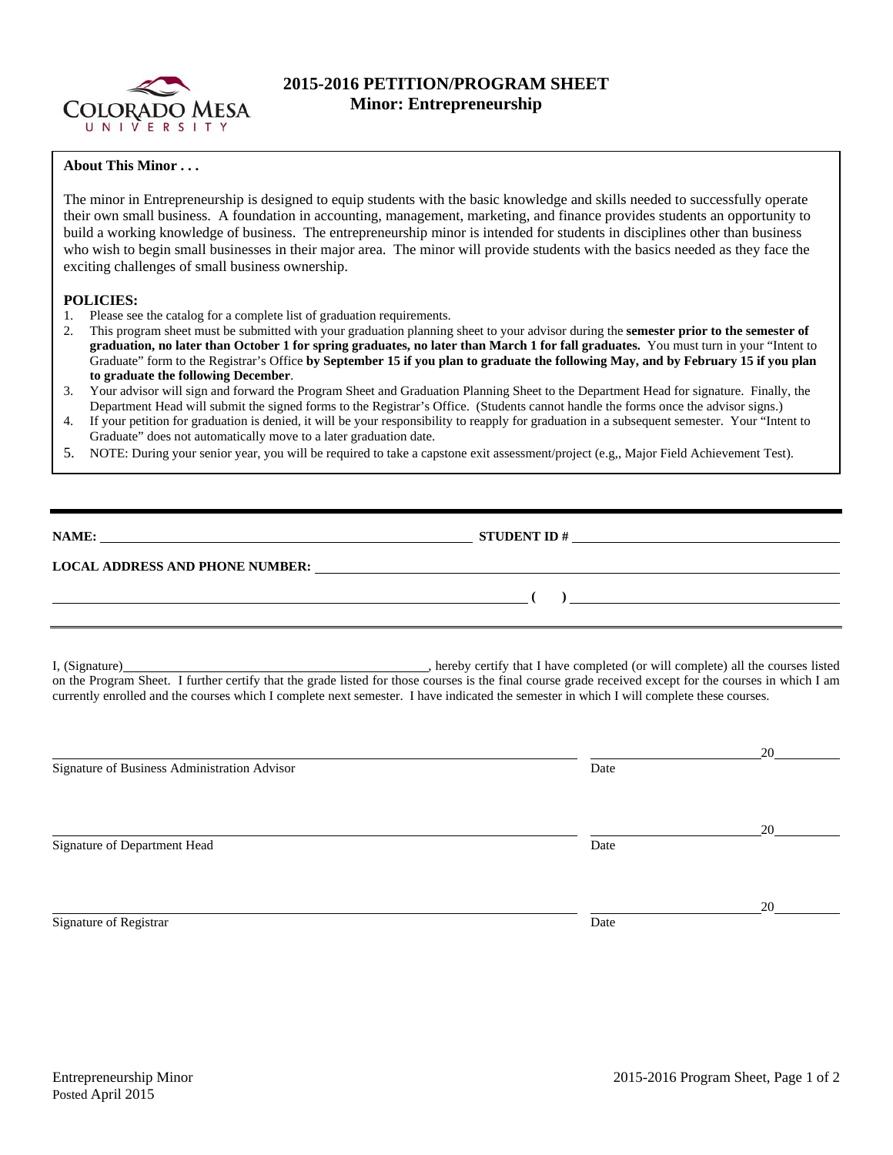

## **2015-2016 PETITION/PROGRAM SHEET Minor: Entrepreneurship**

## **About This Minor . . .**

The minor in Entrepreneurship is designed to equip students with the basic knowledge and skills needed to successfully operate their own small business. A foundation in accounting, management, marketing, and finance provides students an opportunity to build a working knowledge of business. The entrepreneurship minor is intended for students in disciplines other than business who wish to begin small businesses in their major area. The minor will provide students with the basics needed as they face the exciting challenges of small business ownership.

## **POLICIES:**

- 1. Please see the catalog for a complete list of graduation requirements.
- 2. This program sheet must be submitted with your graduation planning sheet to your advisor during the **semester prior to the semester of graduation, no later than October 1 for spring graduates, no later than March 1 for fall graduates.** You must turn in your "Intent to Graduate" form to the Registrar's Office **by September 15 if you plan to graduate the following May, and by February 15 if you plan to graduate the following December**.
- 3. Your advisor will sign and forward the Program Sheet and Graduation Planning Sheet to the Department Head for signature. Finally, the Department Head will submit the signed forms to the Registrar's Office. (Students cannot handle the forms once the advisor signs.)
- 4. If your petition for graduation is denied, it will be your responsibility to reapply for graduation in a subsequent semester. Your "Intent to Graduate" does not automatically move to a later graduation date.
- 5. NOTE: During your senior year, you will be required to take a capstone exit assessment/project (e.g,, Major Field Achievement Test).

| NAME:                                  | <b>STUDENT ID#</b> |  |
|----------------------------------------|--------------------|--|
| <b>LOCAL ADDRESS AND PHONE NUMBER:</b> |                    |  |
|                                        |                    |  |

I, (Signature) **Source and Contract Constant Constant Constant Constant Constant Constant Constant Constant Constant Constant Constant Constant Constant Constant Constant Constant Constant Constant Constant Constant Consta** on the Program Sheet. I further certify that the grade listed for those courses is the final course grade received except for the courses in which I am currently enrolled and the courses which I complete next semester. I have indicated the semester in which I will complete these courses.

|                                              |      | 20 |
|----------------------------------------------|------|----|
| Signature of Business Administration Advisor | Date |    |
|                                              |      |    |
|                                              |      | 20 |
| Signature of Department Head                 | Date |    |
|                                              |      |    |
|                                              |      | 20 |
| Signature of Registrar                       | Date |    |